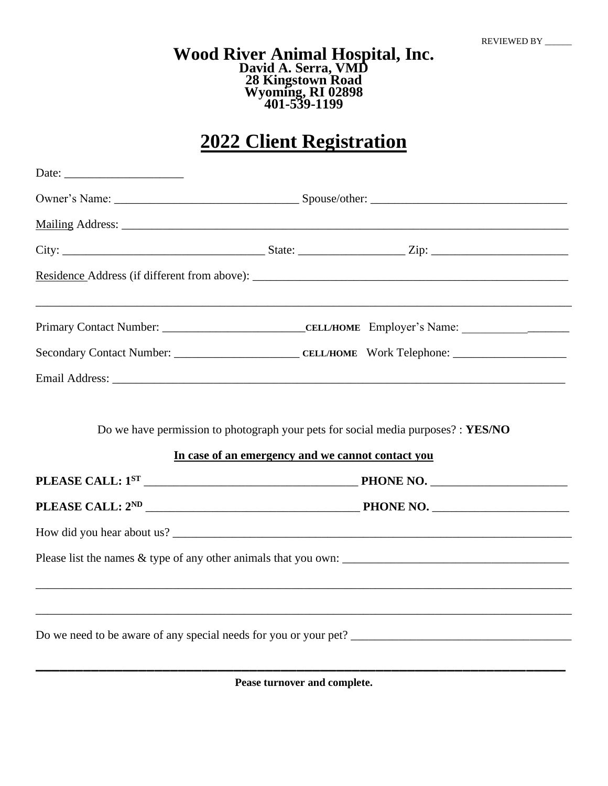## **Wood River Animal Hospital, Inc. David A. Serra, VMD 28 Kingstown Road Wyoming, RI 02898 401-539-1199**

## **2022 Client Registration**

|                                                                                  | In case of an emergency and we cannot contact you                                |  |  |
|----------------------------------------------------------------------------------|----------------------------------------------------------------------------------|--|--|
|                                                                                  |                                                                                  |  |  |
|                                                                                  |                                                                                  |  |  |
|                                                                                  |                                                                                  |  |  |
|                                                                                  |                                                                                  |  |  |
| ,我们也不会有什么。""我们的人,我们也不会有什么?""我们的人,我们也不会有什么?""我们的人,我们也不会有什么?""我们的人,我们也不会有什么?""我们的人 | ,我们也不能在这里的时候,我们也不能在这里的时候,我们也不能会不能会不能会不能会不能会不能会不能会不能会不能会不能会。""我们的是我们的,我们也不能会不能会不能 |  |  |
|                                                                                  |                                                                                  |  |  |

**Pease turnover and complete.**